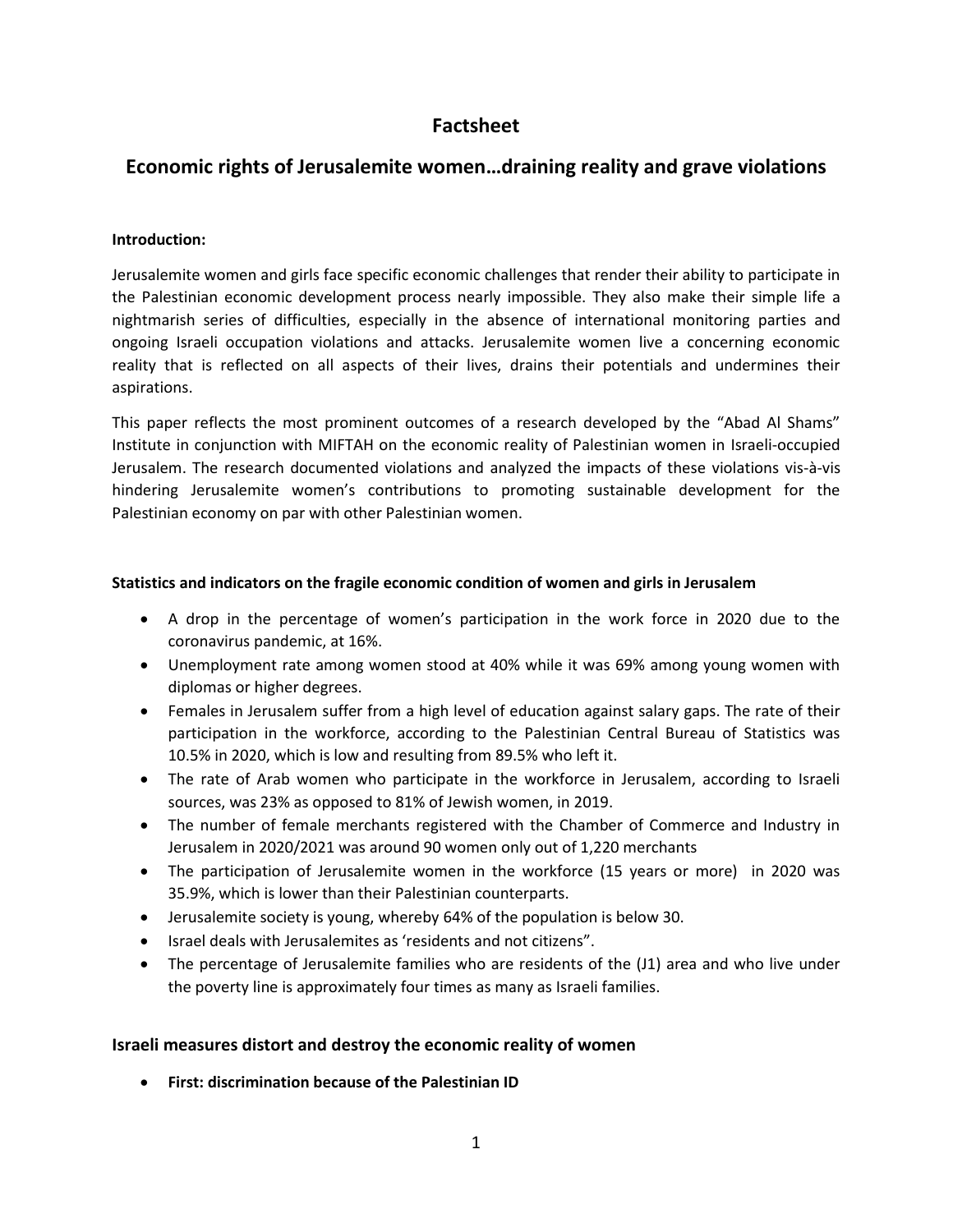# **Factsheet**

# **Economic rights of Jerusalemite women…draining reality and grave violations**

#### **Introduction:**

Jerusalemite women and girls face specific economic challenges that render their ability to participate in the Palestinian economic development process nearly impossible. They also make their simple life a nightmarish series of difficulties, especially in the absence of international monitoring parties and ongoing Israeli occupation violations and attacks. Jerusalemite women live a concerning economic reality that is reflected on all aspects of their lives, drains their potentials and undermines their aspirations.

This paper reflects the most prominent outcomes of a research developed by the "Abad Al Shams" Institute in conjunction with MIFTAH on the economic reality of Palestinian women in Israeli-occupied Jerusalem. The research documented violations and analyzed the impacts of these violations vis-à-vis hindering Jerusalemite women's contributions to promoting sustainable development for the Palestinian economy on par with other Palestinian women.

#### **Statistics and indicators on the fragile economic condition of women and girls in Jerusalem**

- A drop in the percentage of women's participation in the work force in 2020 due to the coronavirus pandemic, at 16%.
- Unemployment rate among women stood at 40% while it was 69% among young women with diplomas or higher degrees.
- Females in Jerusalem suffer from a high level of education against salary gaps. The rate of their participation in the workforce, according to the Palestinian Central Bureau of Statistics was 10.5% in 2020, which is low and resulting from 89.5% who left it.
- The rate of Arab women who participate in the workforce in Jerusalem, according to Israeli sources, was 23% as opposed to 81% of Jewish women, in 2019.
- The number of female merchants registered with the Chamber of Commerce and Industry in Jerusalem in 2020/2021 was around 90 women only out of 1,220 merchants
- The participation of Jerusalemite women in the workforce (15 years or more) in 2020 was 35.9%, which is lower than their Palestinian counterparts.
- Jerusalemite society is young, whereby 64% of the population is below 30.
- Israel deals with Jerusalemites as 'residents and not citizens".
- The percentage of Jerusalemite families who are residents of the (J1) area and who live under the poverty line is approximately four times as many as Israeli families.

### **Israeli measures distort and destroy the economic reality of women**

**First: discrimination because of the Palestinian ID**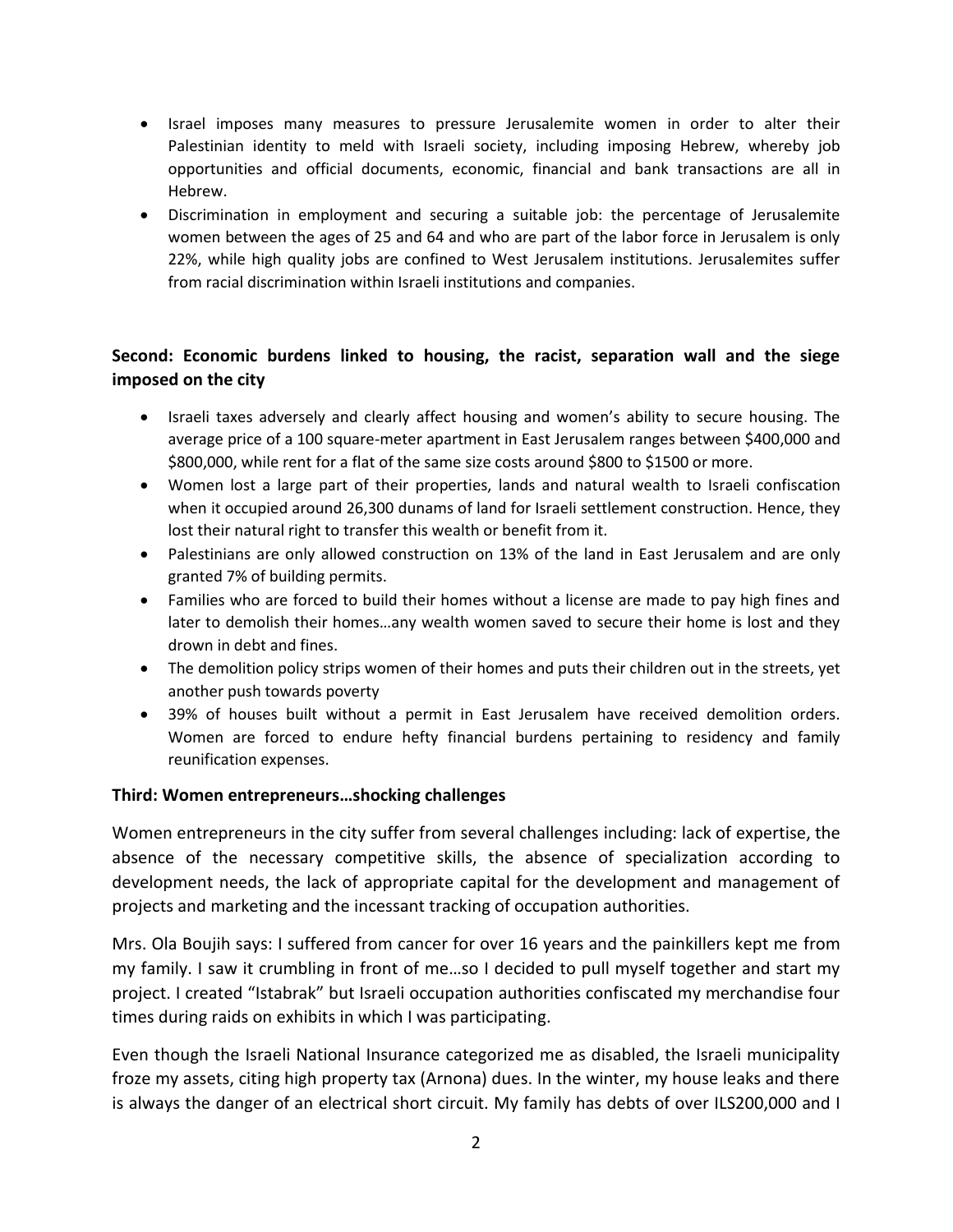- Israel imposes many measures to pressure Jerusalemite women in order to alter their Palestinian identity to meld with Israeli society, including imposing Hebrew, whereby job opportunities and official documents, economic, financial and bank transactions are all in Hebrew.
- Discrimination in employment and securing a suitable job: the percentage of Jerusalemite women between the ages of 25 and 64 and who are part of the labor force in Jerusalem is only 22%, while high quality jobs are confined to West Jerusalem institutions. Jerusalemites suffer from racial discrimination within Israeli institutions and companies.

## **Second: Economic burdens linked to housing, the racist, separation wall and the siege imposed on the city**

- Israeli taxes adversely and clearly affect housing and women's ability to secure housing. The average price of a 100 square-meter apartment in East Jerusalem ranges between \$400,000 and \$800,000, while rent for a flat of the same size costs around \$800 to \$1500 or more.
- Women lost a large part of their properties, lands and natural wealth to Israeli confiscation when it occupied around 26,300 dunams of land for Israeli settlement construction. Hence, they lost their natural right to transfer this wealth or benefit from it.
- Palestinians are only allowed construction on 13% of the land in East Jerusalem and are only granted 7% of building permits.
- Families who are forced to build their homes without a license are made to pay high fines and later to demolish their homes…any wealth women saved to secure their home is lost and they drown in debt and fines.
- The demolition policy strips women of their homes and puts their children out in the streets, yet another push towards poverty
- 39% of houses built without a permit in East Jerusalem have received demolition orders. Women are forced to endure hefty financial burdens pertaining to residency and family reunification expenses.

### **Third: Women entrepreneurs…shocking challenges**

Women entrepreneurs in the city suffer from several challenges including: lack of expertise, the absence of the necessary competitive skills, the absence of specialization according to development needs, the lack of appropriate capital for the development and management of projects and marketing and the incessant tracking of occupation authorities.

Mrs. Ola Boujih says: I suffered from cancer for over 16 years and the painkillers kept me from my family. I saw it crumbling in front of me…so I decided to pull myself together and start my project. I created "Istabrak" but Israeli occupation authorities confiscated my merchandise four times during raids on exhibits in which I was participating.

Even though the Israeli National Insurance categorized me as disabled, the Israeli municipality froze my assets, citing high property tax (Arnona) dues. In the winter, my house leaks and there is always the danger of an electrical short circuit. My family has debts of over ILS200,000 and I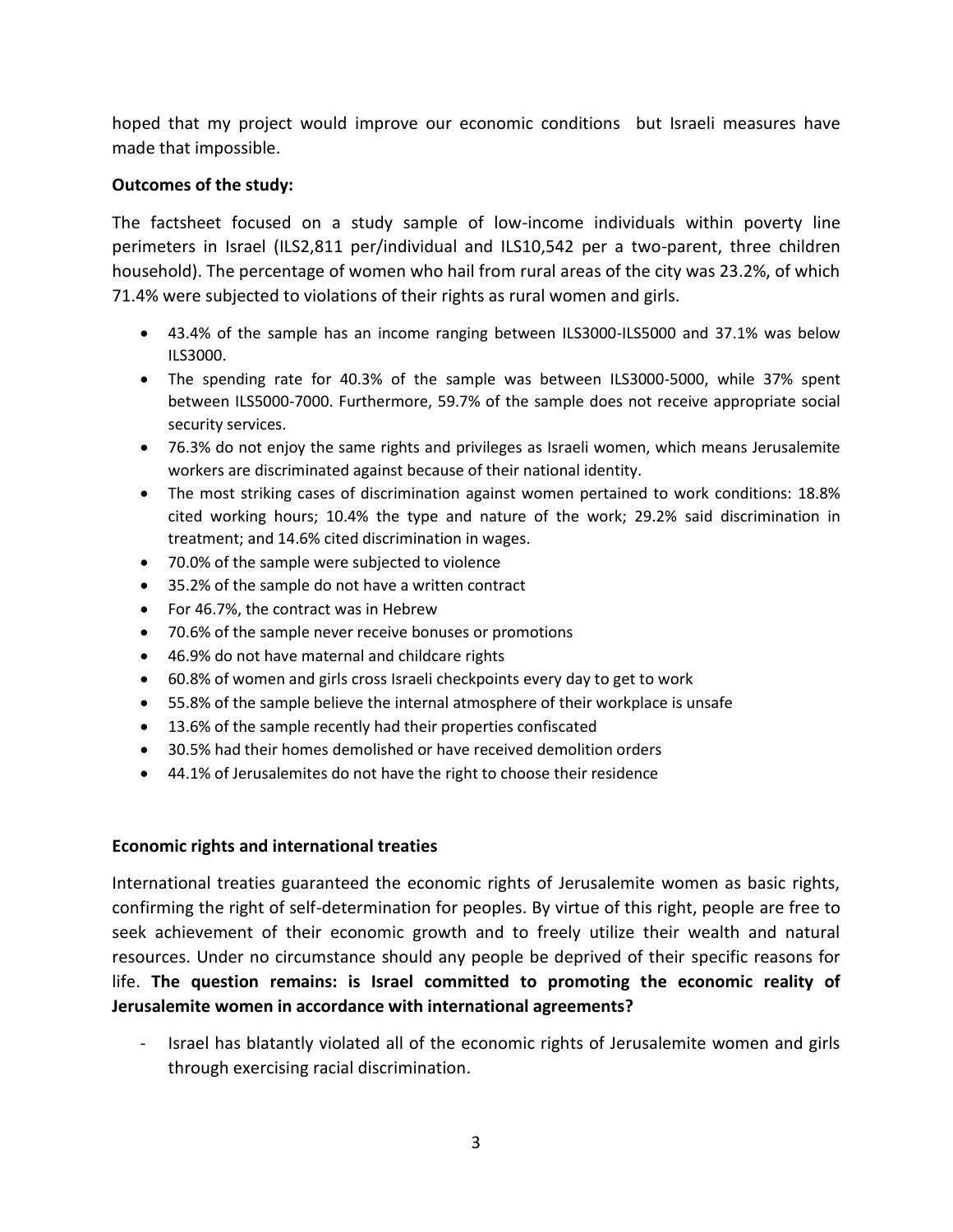hoped that my project would improve our economic conditions but Israeli measures have made that impossible.

### **Outcomes of the study:**

The factsheet focused on a study sample of low-income individuals within poverty line perimeters in Israel (ILS2,811 per/individual and ILS10,542 per a two-parent, three children household). The percentage of women who hail from rural areas of the city was 23.2%, of which 71.4% were subjected to violations of their rights as rural women and girls.

- 43.4% of the sample has an income ranging between ILS3000-ILS5000 and 37.1% was below ILS3000.
- The spending rate for 40.3% of the sample was between ILS3000-5000, while 37% spent between ILS5000-7000. Furthermore, 59.7% of the sample does not receive appropriate social security services.
- 76.3% do not enjoy the same rights and privileges as Israeli women, which means Jerusalemite workers are discriminated against because of their national identity.
- The most striking cases of discrimination against women pertained to work conditions: 18.8% cited working hours; 10.4% the type and nature of the work; 29.2% said discrimination in treatment; and 14.6% cited discrimination in wages.
- 70.0% of the sample were subjected to violence
- 35.2% of the sample do not have a written contract
- For 46.7%, the contract was in Hebrew
- 70.6% of the sample never receive bonuses or promotions
- 46.9% do not have maternal and childcare rights
- 60.8% of women and girls cross Israeli checkpoints every day to get to work
- 55.8% of the sample believe the internal atmosphere of their workplace is unsafe
- 13.6% of the sample recently had their properties confiscated
- 30.5% had their homes demolished or have received demolition orders
- 44.1% of Jerusalemites do not have the right to choose their residence

### **Economic rights and international treaties**

International treaties guaranteed the economic rights of Jerusalemite women as basic rights, confirming the right of self-determination for peoples. By virtue of this right, people are free to seek achievement of their economic growth and to freely utilize their wealth and natural resources. Under no circumstance should any people be deprived of their specific reasons for life. **The question remains: is Israel committed to promoting the economic reality of Jerusalemite women in accordance with international agreements?**

Israel has blatantly violated all of the economic rights of Jerusalemite women and girls through exercising racial discrimination.